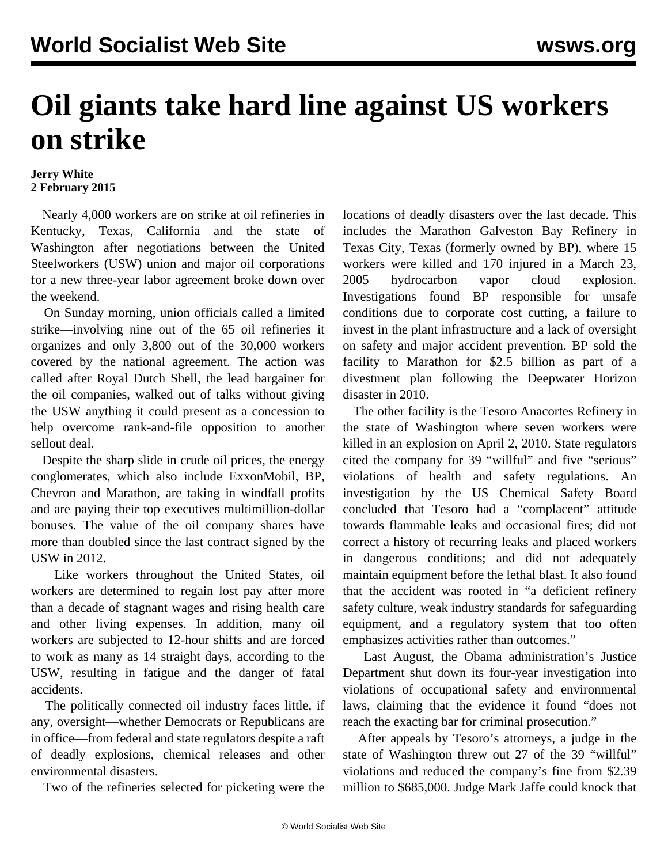## **Oil giants take hard line against US workers on strike**

## **Jerry White 2 February 2015**

 Nearly 4,000 workers are on strike at oil refineries in Kentucky, Texas, California and the state of Washington after negotiations between the United Steelworkers (USW) union and major oil corporations for a new three-year labor agreement broke down over the weekend.

 On Sunday morning, union officials called a limited strike—involving nine out of the 65 oil refineries it organizes and only 3,800 out of the 30,000 workers covered by the national agreement. The action was called after Royal Dutch Shell, the lead bargainer for the oil companies, walked out of talks without giving the USW anything it could present as a concession to help overcome rank-and-file opposition to another sellout deal.

 Despite the sharp slide in crude oil prices, the energy conglomerates, which also include ExxonMobil, BP, Chevron and Marathon, are taking in windfall profits and are paying their top executives multimillion-dollar bonuses. The value of the oil company shares have more than doubled since the last contract signed by the USW in 2012.

 Like workers throughout the United States, oil workers are determined to regain lost pay after more than a decade of stagnant wages and rising health care and other living expenses. In addition, many oil workers are subjected to 12-hour shifts and are forced to work as many as 14 straight days, according to the USW, resulting in fatigue and the danger of fatal accidents.

 The politically connected oil industry faces little, if any, oversight—whether Democrats or Republicans are in office—from federal and state regulators despite a raft of deadly explosions, chemical releases and other environmental disasters.

Two of the refineries selected for picketing were the

locations of deadly disasters over the last decade. This includes the Marathon Galveston Bay Refinery in Texas City, Texas (formerly owned by BP), where 15 workers were killed and 170 injured in a March 23, 2005 hydrocarbon vapor cloud explosion. Investigations found BP responsible for unsafe conditions due to corporate cost cutting, a failure to invest in the plant infrastructure and a lack of oversight on safety and major accident prevention. BP sold the facility to Marathon for \$2.5 billion as part of a divestment plan following the Deepwater Horizon disaster in 2010.

 The other facility is the Tesoro Anacortes Refinery in the state of Washington where seven workers were killed in an explosion on April 2, 2010. State regulators cited the company for 39 "willful" and five "serious" violations of health and safety regulations. An investigation by the US Chemical Safety Board concluded that Tesoro had a "complacent" attitude towards flammable leaks and occasional fires; did not correct a history of recurring leaks and placed workers in dangerous conditions; and did not adequately maintain equipment before the lethal blast. It also found that the accident was rooted in "a deficient refinery safety culture, weak industry standards for safeguarding equipment, and a regulatory system that too often emphasizes activities rather than outcomes."

 Last August, the Obama administration's Justice Department shut down its four-year investigation into violations of occupational safety and environmental laws, claiming that the evidence it found "does not reach the exacting bar for criminal prosecution."

 After appeals by Tesoro's attorneys, a judge in the state of Washington threw out 27 of the 39 "willful" violations and reduced the company's fine from \$2.39 million to \$685,000. Judge Mark Jaffe could knock that